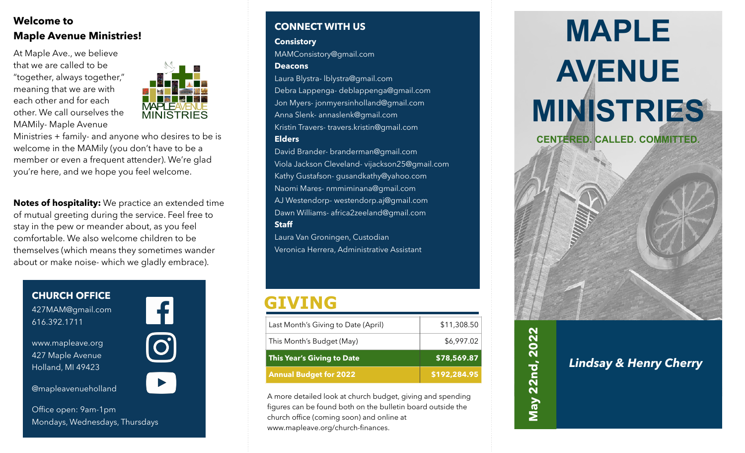### **Welcome to Maple Avenue Ministries!**

At Maple Ave., we believe that we are called to be "together, always together," meaning that we are with each other and for each other. We call ourselves the MAMily- Maple Avenue



Ministries + family- and anyone who desires to be is welcome in the MAMily (you don't have to be a member or even a frequent attender). We're glad you're here, and we hope you feel welcome.

**Notes of hospitality:** We practice an extended time of mutual greeting during the service. Feel free to stay in the pew or meander about, as you feel comfortable. We also welcome children to be themselves (which means they sometimes wander about or make noise- which we gladly embrace).

**CHURCH OFFICE** 427MAM@gmail.com 616.392.1711



www.mapleave.org 427 Maple Avenue Holland, MI 49423

@mapleavenueholland



Office open: 9am-1pm Mondays, Wednesdays, Thursdays

#### **CONNECT WITH US**

#### **Consistory**

MAMConsistory@gmail.com

#### **Deacons**

Laura Blystra- lblystra@gmail.com Debra Lappenga- deblappenga@gmail.com Jon Myers- jonmyersinholland@gmail.com Anna Slenk- annaslenk@gmail.com Kristin Travers- travers.kristin@gmail.com **Elders**

David Brander- branderman@gmail.com Viola Jackson Cleveland- vijackson25@gmail.com Kathy Gustafson- gusandkathy@yahoo.com Naomi Mares- nmmiminana@gmail.com AJ Westendorp- westendorp.aj@gmail.com Dawn Williams- africa2zeeland@gmail.com **Staff**

Laura Van Groningen, Custodian Veronica Herrera, Administrative Assistant

### **GIVING**

| Last Month's Giving to Date (April) | \$11,308.50 |
|-------------------------------------|-------------|
| This Month's Budget (May)           | \$6,997.02  |
| This Year's Giving to Date          | \$78,569.87 |
|                                     |             |

A more detailed look at church budget, giving and spending figures can be found both on the bulletin board outside the church office (coming soon) and online at www.mapleave.org/church-finances.

# **MAPLE AVENUE MINISTRIES CENTERED. CALLED. COMMITTED.**



*Lindsay & Henry Cherry*